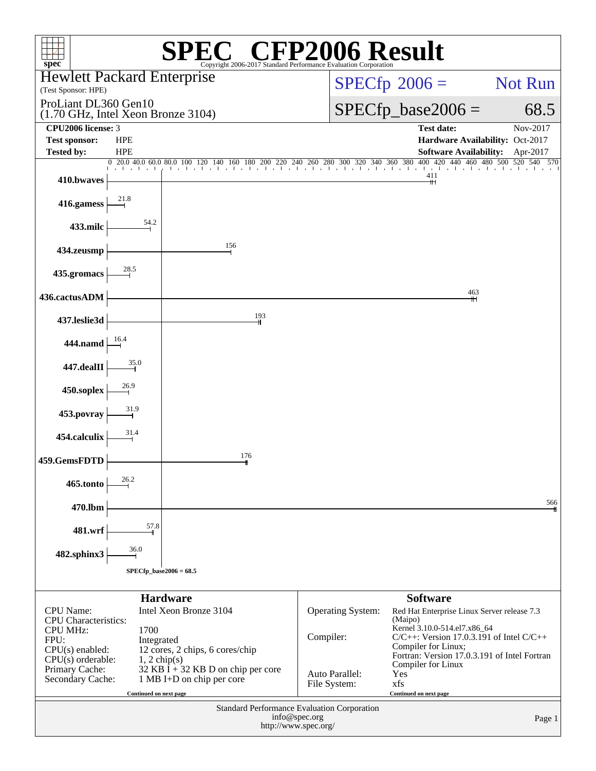| $spec^{\circ}$                                                               |                                             | Copyright 2006-2017 Standard Performance Evaluation Corporation   | $\mathbb{C}^{\circ}$ CFP2006 Result   |                                                                      |          |  |  |
|------------------------------------------------------------------------------|---------------------------------------------|-------------------------------------------------------------------|---------------------------------------|----------------------------------------------------------------------|----------|--|--|
| <b>Hewlett Packard Enterprise</b><br>(Test Sponsor: HPE)                     |                                             |                                                                   |                                       | $SPECfp^{\circledast}2006 =$                                         | Not Run  |  |  |
| ProLiant DL360 Gen10<br>$(1.70 \text{ GHz}, \text{Intel Xeon Bronze } 3104)$ |                                             |                                                                   |                                       | $SPECfp\_base2006 =$                                                 | 68.5     |  |  |
| CPU2006 license: 3                                                           |                                             |                                                                   |                                       | <b>Test date:</b>                                                    | Nov-2017 |  |  |
| <b>Test sponsor:</b><br><b>Tested by:</b>                                    | <b>HPE</b><br><b>HPE</b>                    |                                                                   |                                       | Hardware Availability: Oct-2017<br><b>Software Availability:</b>     |          |  |  |
|                                                                              |                                             |                                                                   |                                       |                                                                      | Apr-2017 |  |  |
| 410.bwaves                                                                   |                                             |                                                                   |                                       | 411<br>╫                                                             |          |  |  |
| 416.gamess                                                                   |                                             |                                                                   |                                       |                                                                      |          |  |  |
| 433.milc                                                                     |                                             |                                                                   |                                       |                                                                      |          |  |  |
| 434.zeusmp                                                                   |                                             | 156                                                               |                                       |                                                                      |          |  |  |
| 435.gromacs                                                                  |                                             |                                                                   |                                       |                                                                      |          |  |  |
| 436.cactusADM                                                                |                                             |                                                                   |                                       | 463                                                                  |          |  |  |
| 437.leslie3d                                                                 |                                             | 193                                                               |                                       |                                                                      |          |  |  |
| 444.namd $\frac{16.4}{ }$                                                    |                                             |                                                                   |                                       |                                                                      |          |  |  |
| 447.dealII                                                                   |                                             |                                                                   |                                       |                                                                      |          |  |  |
| 450.soplex                                                                   |                                             |                                                                   |                                       |                                                                      |          |  |  |
| 453.povray                                                                   |                                             |                                                                   |                                       |                                                                      |          |  |  |
| 454.calculix                                                                 |                                             |                                                                   |                                       |                                                                      |          |  |  |
| 459.GemsFDTD                                                                 |                                             | 176                                                               |                                       |                                                                      |          |  |  |
| 465.tonto                                                                    | 26.2                                        |                                                                   |                                       |                                                                      |          |  |  |
| 470.lbm                                                                      | 57.8                                        |                                                                   |                                       |                                                                      | 566      |  |  |
| 481.wrf                                                                      | 36.0                                        |                                                                   |                                       |                                                                      |          |  |  |
| 482.sphinx3                                                                  |                                             | $SPECfp\_base2006 = 68.5$                                         |                                       |                                                                      |          |  |  |
|                                                                              |                                             |                                                                   |                                       |                                                                      |          |  |  |
|                                                                              |                                             | <b>Hardware</b>                                                   |                                       | <b>Software</b>                                                      |          |  |  |
| <b>CPU</b> Name:<br><b>CPU</b> Characteristics:                              |                                             | Intel Xeon Bronze 3104                                            | Operating System:                     | Red Hat Enterprise Linux Server release 7.3<br>(Maipo)               |          |  |  |
| <b>CPU MHz:</b>                                                              | 1700                                        |                                                                   |                                       | Kernel 3.10.0-514.el7.x86_64                                         |          |  |  |
| FPU:<br>CPU(s) enabled:                                                      | Integrated                                  |                                                                   | Compiler:                             | $C/C++$ : Version 17.0.3.191 of Intel $C/C++$<br>Compiler for Linux; |          |  |  |
| $CPU(s)$ orderable:                                                          | $1, 2 \text{ chip}(s)$                      | 12 cores, 2 chips, 6 cores/chip                                   |                                       | Fortran: Version 17.0.3.191 of Intel Fortran<br>Compiler for Linux   |          |  |  |
| Primary Cache:<br>Secondary Cache:                                           |                                             | $32$ KB I + 32 KB D on chip per core<br>1 MB I+D on chip per core | Auto Parallel:                        | Yes                                                                  |          |  |  |
|                                                                              | Continued on next page                      |                                                                   | File System:                          | xfs<br>Continued on next page                                        |          |  |  |
|                                                                              | Standard Performance Evaluation Corporation |                                                                   |                                       |                                                                      |          |  |  |
|                                                                              |                                             |                                                                   | info@spec.org<br>http://www.spec.org/ |                                                                      | Page 1   |  |  |
|                                                                              |                                             |                                                                   |                                       |                                                                      |          |  |  |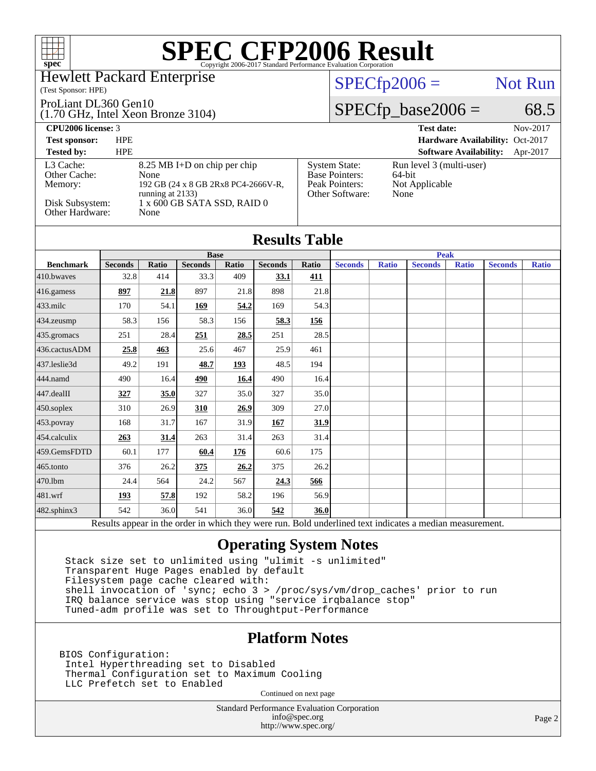

### Hewlett Packard Enterprise

#### (Test Sponsor: HPE)

ProLiant DL360 Gen10

(1.70 GHz, Intel Xeon Bronze 3104)

[Base Pointers:](http://www.spec.org/auto/cpu2006/Docs/result-fields.html#BasePointers)

 $SPECTp2006 =$  Not Run

## $SPECfp\_base2006 = 68.5$

[System State:](http://www.spec.org/auto/cpu2006/Docs/result-fields.html#SystemState) Run level 3 (multi-user)<br>Base Pointers: 64-bit

[Peak Pointers:](http://www.spec.org/auto/cpu2006/Docs/result-fields.html#PeakPointers) Not Applicable

[Other Software:](http://www.spec.org/auto/cpu2006/Docs/result-fields.html#OtherSoftware) None

**[CPU2006 license:](http://www.spec.org/auto/cpu2006/Docs/result-fields.html#CPU2006license)** 3 **[Test date:](http://www.spec.org/auto/cpu2006/Docs/result-fields.html#Testdate)** Nov-2017

**[Test sponsor:](http://www.spec.org/auto/cpu2006/Docs/result-fields.html#Testsponsor)** HPE **[Hardware Availability:](http://www.spec.org/auto/cpu2006/Docs/result-fields.html#HardwareAvailability)** Oct-2017

#### **[Tested by:](http://www.spec.org/auto/cpu2006/Docs/result-fields.html#Testedby)** HPE **[Software Availability:](http://www.spec.org/auto/cpu2006/Docs/result-fields.html#SoftwareAvailability)** Apr-2017 [L3 Cache:](http://www.spec.org/auto/cpu2006/Docs/result-fields.html#L3Cache) 8.25 MB I+D on chip per chip<br>Other Cache: None [Other Cache:](http://www.spec.org/auto/cpu2006/Docs/result-fields.html#OtherCache) [Memory:](http://www.spec.org/auto/cpu2006/Docs/result-fields.html#Memory) 192 GB (24 x 8 GB 2Rx8 PC4-2666V-R, running at 2133) [Disk Subsystem:](http://www.spec.org/auto/cpu2006/Docs/result-fields.html#DiskSubsystem) 1 x 600 GB SATA SSD, RAID 0<br>Other Hardware: None [Other Hardware:](http://www.spec.org/auto/cpu2006/Docs/result-fields.html#OtherHardware)

|                  |                           |                             |                |              | <b>Results Table</b> |          |                |              |                |              |                |              |
|------------------|---------------------------|-----------------------------|----------------|--------------|----------------------|----------|----------------|--------------|----------------|--------------|----------------|--------------|
|                  | <b>Base</b>               |                             |                |              |                      |          | <b>Peak</b>    |              |                |              |                |              |
| <b>Benchmark</b> | <b>Seconds</b>            | Ratio                       | <b>Seconds</b> | <b>Ratio</b> | <b>Seconds</b>       | Ratio    | <b>Seconds</b> | <b>Ratio</b> | <b>Seconds</b> | <b>Ratio</b> | <b>Seconds</b> | <b>Ratio</b> |
| 410.bwaves       | 32.8                      | 414                         | 33.3           | 409          | 33.1                 | 411      |                |              |                |              |                |              |
| 416.gamess       | 897                       | 21.8                        | 897            | 21.8         | 898                  | 21.8     |                |              |                |              |                |              |
| $433$ .milc      | 170                       | 54.1                        | 169            | 54.2         | 169                  | 54.3     |                |              |                |              |                |              |
| 434.zeusmp       | 58.3                      | 156                         | 58.3           | 156          | 58.3                 | 156      |                |              |                |              |                |              |
| $435$ .gromacs   | 251                       | 28.4                        | 251            | 28.5         | 251                  | 28.5     |                |              |                |              |                |              |
| 436.cactusADM    | 25.8                      | 463                         | 25.6           | 467          | 25.9                 | 461      |                |              |                |              |                |              |
| 437.leslie3d     | 49.2                      | 191                         | 48.7           | 193          | 48.5                 | 194      |                |              |                |              |                |              |
| 444.namd         | 490                       | 16.4                        | 490            | 16.4         | 490                  | 16.4     |                |              |                |              |                |              |
| 447.dealII       | 327                       | 35.0                        | 327            | 35.0         | 327                  | 35.0     |                |              |                |              |                |              |
| 450.soplex       | 310                       | 26.9                        | 310            | 26.9         | 309                  | 27.0     |                |              |                |              |                |              |
| 453.povray       | 168                       | 31.7                        | 167            | 31.9         | 167                  | 31.9     |                |              |                |              |                |              |
| 454.calculix     | 263                       | 31.4                        | 263            | 31.4         | 263                  | 31.4     |                |              |                |              |                |              |
| 459.GemsFDTD     | 60.1                      | 177                         | 60.4           | 176          | 60.6                 | 175      |                |              |                |              |                |              |
| 465.tonto        | 376                       | 26.2                        | 375            | 26.2         | 375                  | 26.2     |                |              |                |              |                |              |
| 470.1bm          | 24.4                      | 564                         | 24.2           | 567          | 24.3                 | 566      |                |              |                |              |                |              |
| 481.wrf          | 193                       | 57.8                        | 192            | 58.2         | 196                  | 56.9     |                |              |                |              |                |              |
| 482.sphinx3      | 542                       | 36.0                        | 541            | 36.0         | 542                  | 36.0     |                |              |                |              |                |              |
|                  | $\mathbf{D} = \mathbf{I}$ | $\sim$ $\sim$ $\sim$ $\sim$ | 1.1.1.1.1.1    |              |                      | $T = 11$ | $1.11 - 1.1$   |              | $\cdot$        |              |                |              |

Results appear in the [order in which they were run.](http://www.spec.org/auto/cpu2006/Docs/result-fields.html#RunOrder) Bold underlined text [indicates a median measurement.](http://www.spec.org/auto/cpu2006/Docs/result-fields.html#Median)

### **[Operating System Notes](http://www.spec.org/auto/cpu2006/Docs/result-fields.html#OperatingSystemNotes)**

 Stack size set to unlimited using "ulimit -s unlimited" Transparent Huge Pages enabled by default Filesystem page cache cleared with: shell invocation of 'sync; echo 3 > /proc/sys/vm/drop\_caches' prior to run IRQ balance service was stop using "service irqbalance stop" Tuned-adm profile was set to Throughtput-Performance

## **[Platform Notes](http://www.spec.org/auto/cpu2006/Docs/result-fields.html#PlatformNotes)**

BIOS Configuration: Intel Hyperthreading set to Disabled Thermal Configuration set to Maximum Cooling LLC Prefetch set to Enabled

Continued on next page

Standard Performance Evaluation Corporation [info@spec.org](mailto:info@spec.org) <http://www.spec.org/>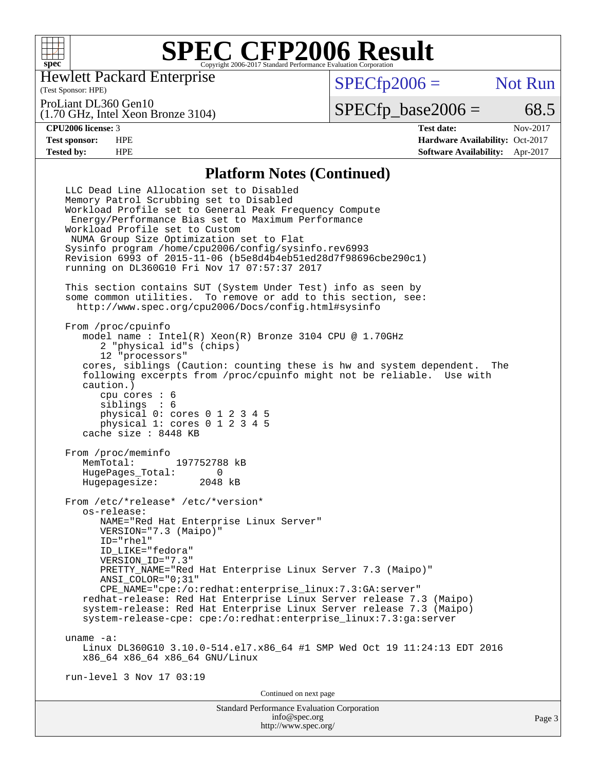

Hewlett Packard Enterprise

(Test Sponsor: HPE)

 $SPECTp2006 =$  Not Run

ProLiant DL360 Gen10

(1.70 GHz, Intel Xeon Bronze 3104)

 $SPECTp\_base2006 = 68.5$ 

**[CPU2006 license:](http://www.spec.org/auto/cpu2006/Docs/result-fields.html#CPU2006license)** 3 **[Test date:](http://www.spec.org/auto/cpu2006/Docs/result-fields.html#Testdate)** Nov-2017 **[Test sponsor:](http://www.spec.org/auto/cpu2006/Docs/result-fields.html#Testsponsor)** HPE **[Hardware Availability:](http://www.spec.org/auto/cpu2006/Docs/result-fields.html#HardwareAvailability)** Oct-2017 **[Tested by:](http://www.spec.org/auto/cpu2006/Docs/result-fields.html#Testedby)** HPE **[Software Availability:](http://www.spec.org/auto/cpu2006/Docs/result-fields.html#SoftwareAvailability)** Apr-2017

### **[Platform Notes \(Continued\)](http://www.spec.org/auto/cpu2006/Docs/result-fields.html#PlatformNotes)**

Standard Performance Evaluation Corporation LLC Dead Line Allocation set to Disabled Memory Patrol Scrubbing set to Disabled Workload Profile set to General Peak Frequency Compute Energy/Performance Bias set to Maximum Performance Workload Profile set to Custom NUMA Group Size Optimization set to Flat Sysinfo program /home/cpu2006/config/sysinfo.rev6993 Revision 6993 of 2015-11-06 (b5e8d4b4eb51ed28d7f98696cbe290c1) running on DL360G10 Fri Nov 17 07:57:37 2017 This section contains SUT (System Under Test) info as seen by some common utilities. To remove or add to this section, see: <http://www.spec.org/cpu2006/Docs/config.html#sysinfo> From /proc/cpuinfo model name : Intel(R) Xeon(R) Bronze 3104 CPU @ 1.70GHz 2 "physical id"s (chips) 12 "processors" cores, siblings (Caution: counting these is hw and system dependent. The following excerpts from /proc/cpuinfo might not be reliable. Use with caution.) cpu cores : 6 siblings : 6 physical 0: cores 0 1 2 3 4 5 physical 1: cores 0 1 2 3 4 5 cache size : 8448 KB From /proc/meminfo<br>MemTotal: 197752788 kB HugePages\_Total: 0 Hugepagesize: 2048 kB From /etc/\*release\* /etc/\*version\* os-release: NAME="Red Hat Enterprise Linux Server" VERSION="7.3 (Maipo)" ID="rhel" ID\_LIKE="fedora" VERSION\_ID="7.3" PRETTY NAME="Red Hat Enterprise Linux Server 7.3 (Maipo)" ANSI\_COLOR="0;31" CPE\_NAME="cpe:/o:redhat:enterprise\_linux:7.3:GA:server" redhat-release: Red Hat Enterprise Linux Server release 7.3 (Maipo) system-release: Red Hat Enterprise Linux Server release 7.3 (Maipo) system-release-cpe: cpe:/o:redhat:enterprise\_linux:7.3:ga:server uname -a: Linux DL360G10 3.10.0-514.el7.x86\_64 #1 SMP Wed Oct 19 11:24:13 EDT 2016 x86\_64 x86\_64 x86\_64 GNU/Linux run-level 3 Nov 17 03:19 Continued on next page

[info@spec.org](mailto:info@spec.org) <http://www.spec.org/>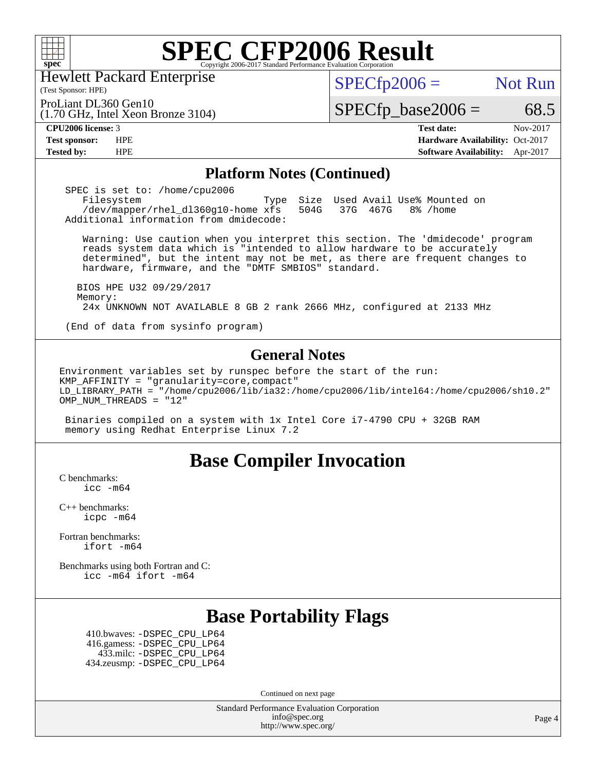

Hewlett Packard Enterprise

(Test Sponsor: HPE)

 $SPECTp2006 =$  Not Run

ProLiant DL360 Gen10

(1.70 GHz, Intel Xeon Bronze 3104)

**[Tested by:](http://www.spec.org/auto/cpu2006/Docs/result-fields.html#Testedby)** HPE **[Software Availability:](http://www.spec.org/auto/cpu2006/Docs/result-fields.html#SoftwareAvailability)** Apr-2017

**[CPU2006 license:](http://www.spec.org/auto/cpu2006/Docs/result-fields.html#CPU2006license)** 3 **[Test date:](http://www.spec.org/auto/cpu2006/Docs/result-fields.html#Testdate)** Nov-2017 **[Test sponsor:](http://www.spec.org/auto/cpu2006/Docs/result-fields.html#Testsponsor)** HPE **[Hardware Availability:](http://www.spec.org/auto/cpu2006/Docs/result-fields.html#HardwareAvailability)** Oct-2017

 $SPECTp\_base2006 = 68.5$ 

### **[Platform Notes \(Continued\)](http://www.spec.org/auto/cpu2006/Docs/result-fields.html#PlatformNotes)**

 SPEC is set to: /home/cpu2006 Filesystem Type Size Used Avail Use% Mounted on /dev/mapper/rhel\_dl360g10-home xfs 504G 37G 467G 8% /home Additional information from dmidecode:

 Warning: Use caution when you interpret this section. The 'dmidecode' program reads system data which is "intended to allow hardware to be accurately determined", but the intent may not be met, as there are frequent changes to hardware, firmware, and the "DMTF SMBIOS" standard.

 BIOS HPE U32 09/29/2017 Memory: 24x UNKNOWN NOT AVAILABLE 8 GB 2 rank 2666 MHz, configured at 2133 MHz

(End of data from sysinfo program)

### **[General Notes](http://www.spec.org/auto/cpu2006/Docs/result-fields.html#GeneralNotes)**

Environment variables set by runspec before the start of the run: KMP AFFINITY = "granularity=core, compact" LD\_LIBRARY\_PATH = "/home/cpu2006/lib/ia32:/home/cpu2006/lib/intel64:/home/cpu2006/sh10.2" OMP NUM THREADS = "12"

 Binaries compiled on a system with 1x Intel Core i7-4790 CPU + 32GB RAM memory using Redhat Enterprise Linux 7.2

## **[Base Compiler Invocation](http://www.spec.org/auto/cpu2006/Docs/result-fields.html#BaseCompilerInvocation)**

[C benchmarks](http://www.spec.org/auto/cpu2006/Docs/result-fields.html#Cbenchmarks): [icc -m64](http://www.spec.org/cpu2006/results/res2017q4/cpu2006-20171127-50746.flags.html#user_CCbase_intel_icc_64bit_bda6cc9af1fdbb0edc3795bac97ada53)

[C++ benchmarks:](http://www.spec.org/auto/cpu2006/Docs/result-fields.html#CXXbenchmarks) [icpc -m64](http://www.spec.org/cpu2006/results/res2017q4/cpu2006-20171127-50746.flags.html#user_CXXbase_intel_icpc_64bit_fc66a5337ce925472a5c54ad6a0de310)

[Fortran benchmarks](http://www.spec.org/auto/cpu2006/Docs/result-fields.html#Fortranbenchmarks): [ifort -m64](http://www.spec.org/cpu2006/results/res2017q4/cpu2006-20171127-50746.flags.html#user_FCbase_intel_ifort_64bit_ee9d0fb25645d0210d97eb0527dcc06e)

[Benchmarks using both Fortran and C](http://www.spec.org/auto/cpu2006/Docs/result-fields.html#BenchmarksusingbothFortranandC): [icc -m64](http://www.spec.org/cpu2006/results/res2017q4/cpu2006-20171127-50746.flags.html#user_CC_FCbase_intel_icc_64bit_bda6cc9af1fdbb0edc3795bac97ada53) [ifort -m64](http://www.spec.org/cpu2006/results/res2017q4/cpu2006-20171127-50746.flags.html#user_CC_FCbase_intel_ifort_64bit_ee9d0fb25645d0210d97eb0527dcc06e)

# **[Base Portability Flags](http://www.spec.org/auto/cpu2006/Docs/result-fields.html#BasePortabilityFlags)**

 410.bwaves: [-DSPEC\\_CPU\\_LP64](http://www.spec.org/cpu2006/results/res2017q4/cpu2006-20171127-50746.flags.html#suite_basePORTABILITY410_bwaves_DSPEC_CPU_LP64) 416.gamess: [-DSPEC\\_CPU\\_LP64](http://www.spec.org/cpu2006/results/res2017q4/cpu2006-20171127-50746.flags.html#suite_basePORTABILITY416_gamess_DSPEC_CPU_LP64) 433.milc: [-DSPEC\\_CPU\\_LP64](http://www.spec.org/cpu2006/results/res2017q4/cpu2006-20171127-50746.flags.html#suite_basePORTABILITY433_milc_DSPEC_CPU_LP64) 434.zeusmp: [-DSPEC\\_CPU\\_LP64](http://www.spec.org/cpu2006/results/res2017q4/cpu2006-20171127-50746.flags.html#suite_basePORTABILITY434_zeusmp_DSPEC_CPU_LP64)

Continued on next page

Standard Performance Evaluation Corporation [info@spec.org](mailto:info@spec.org) <http://www.spec.org/>